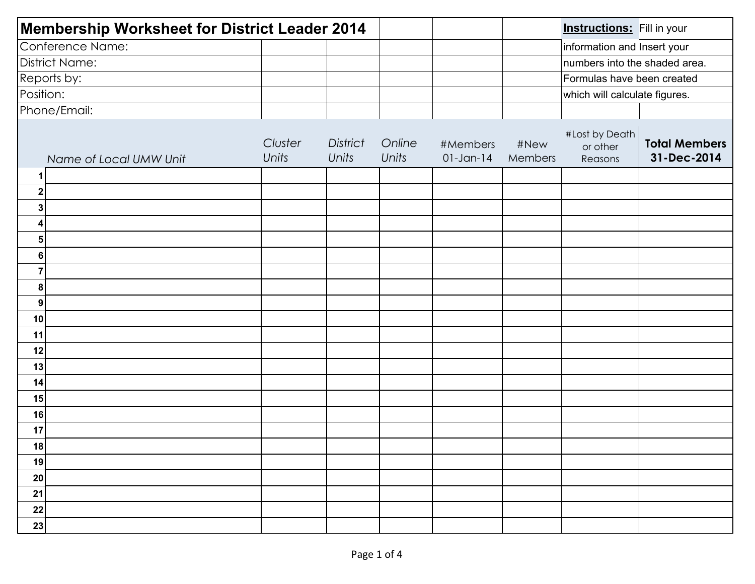| Membership Worksheet for District Leader 2014 |                         |                          |                 |                          | <b>Instructions:</b> Fill in your |                                       |                                     |  |
|-----------------------------------------------|-------------------------|--------------------------|-----------------|--------------------------|-----------------------------------|---------------------------------------|-------------------------------------|--|
| Conference Name:                              |                         |                          |                 |                          |                                   | information and Insert your           |                                     |  |
| <b>District Name:</b>                         |                         |                          |                 |                          |                                   | numbers into the shaded area.         |                                     |  |
| Reports by:                                   |                         |                          |                 |                          |                                   | Formulas have been created            |                                     |  |
| Position:                                     |                         |                          |                 |                          |                                   | which will calculate figures.         |                                     |  |
| Phone/Email:                                  |                         |                          |                 |                          |                                   |                                       |                                     |  |
| Name of Local UMW Unit                        | Cluster<br><b>Units</b> | <b>District</b><br>Units | Online<br>Units | #Members<br>$01$ -Jan-14 | #New<br>Members                   | #Lost by Death<br>or other<br>Reasons | <b>Total Members</b><br>31-Dec-2014 |  |
| 1                                             |                         |                          |                 |                          |                                   |                                       |                                     |  |
| $\mathbf{2}^{\prime}$                         |                         |                          |                 |                          |                                   |                                       |                                     |  |
| 3                                             |                         |                          |                 |                          |                                   |                                       |                                     |  |
| 4                                             |                         |                          |                 |                          |                                   |                                       |                                     |  |
| 5                                             |                         |                          |                 |                          |                                   |                                       |                                     |  |
| 6                                             |                         |                          |                 |                          |                                   |                                       |                                     |  |
| $\overline{7}$                                |                         |                          |                 |                          |                                   |                                       |                                     |  |
| 8                                             |                         |                          |                 |                          |                                   |                                       |                                     |  |
| 9                                             |                         |                          |                 |                          |                                   |                                       |                                     |  |
| 10                                            |                         |                          |                 |                          |                                   |                                       |                                     |  |
| 11                                            |                         |                          |                 |                          |                                   |                                       |                                     |  |
| 12                                            |                         |                          |                 |                          |                                   |                                       |                                     |  |
| 13                                            |                         |                          |                 |                          |                                   |                                       |                                     |  |
| 14                                            |                         |                          |                 |                          |                                   |                                       |                                     |  |
| 15                                            |                         |                          |                 |                          |                                   |                                       |                                     |  |
| 16                                            |                         |                          |                 |                          |                                   |                                       |                                     |  |
| 17                                            |                         |                          |                 |                          |                                   |                                       |                                     |  |
| 18                                            |                         |                          |                 |                          |                                   |                                       |                                     |  |
| 19                                            |                         |                          |                 |                          |                                   |                                       |                                     |  |
| 20                                            |                         |                          |                 |                          |                                   |                                       |                                     |  |
| 21                                            |                         |                          |                 |                          |                                   |                                       |                                     |  |
| 22                                            |                         |                          |                 |                          |                                   |                                       |                                     |  |
| 23                                            |                         |                          |                 |                          |                                   |                                       |                                     |  |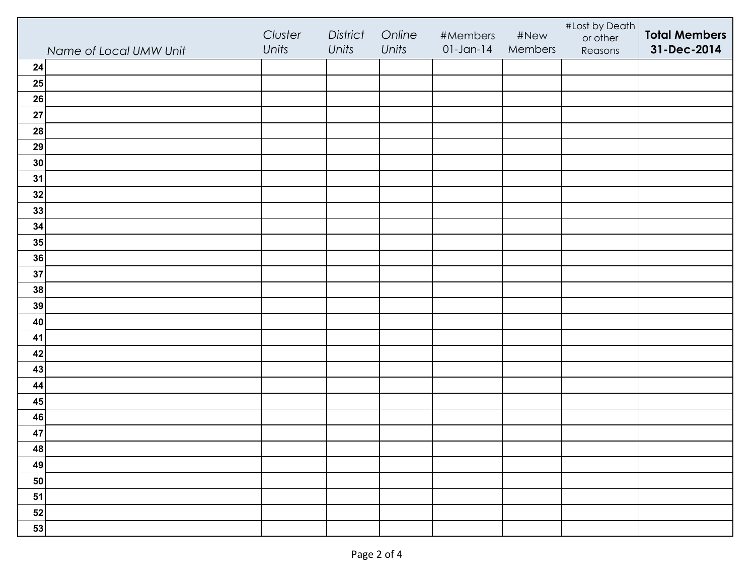|                        | Cluster | District | Online | #Members     | #New    | #Lost by Death<br>or other | <b>Total Members</b> |
|------------------------|---------|----------|--------|--------------|---------|----------------------------|----------------------|
| Name of Local UMW Unit | Units   | Units    | Units  | $01$ -Jan-14 | Members | Reasons                    | 31-Dec-2014          |
| 24                     |         |          |        |              |         |                            |                      |
| 25                     |         |          |        |              |         |                            |                      |
| 26                     |         |          |        |              |         |                            |                      |
| 27                     |         |          |        |              |         |                            |                      |
| 28                     |         |          |        |              |         |                            |                      |
| 29                     |         |          |        |              |         |                            |                      |
| 30                     |         |          |        |              |         |                            |                      |
| 31                     |         |          |        |              |         |                            |                      |
| 32                     |         |          |        |              |         |                            |                      |
| 33                     |         |          |        |              |         |                            |                      |
| 34                     |         |          |        |              |         |                            |                      |
| 35                     |         |          |        |              |         |                            |                      |
| 36                     |         |          |        |              |         |                            |                      |
| 37                     |         |          |        |              |         |                            |                      |
| 38                     |         |          |        |              |         |                            |                      |
| 39                     |         |          |        |              |         |                            |                      |
| 40                     |         |          |        |              |         |                            |                      |
| 41                     |         |          |        |              |         |                            |                      |
| 42                     |         |          |        |              |         |                            |                      |
| 43                     |         |          |        |              |         |                            |                      |
| 44                     |         |          |        |              |         |                            |                      |
| 45                     |         |          |        |              |         |                            |                      |
| 46                     |         |          |        |              |         |                            |                      |
| 47                     |         |          |        |              |         |                            |                      |
| 48                     |         |          |        |              |         |                            |                      |
| 49                     |         |          |        |              |         |                            |                      |
| 50                     |         |          |        |              |         |                            |                      |
| 51                     |         |          |        |              |         |                            |                      |
| 52                     |         |          |        |              |         |                            |                      |
| 53                     |         |          |        |              |         |                            |                      |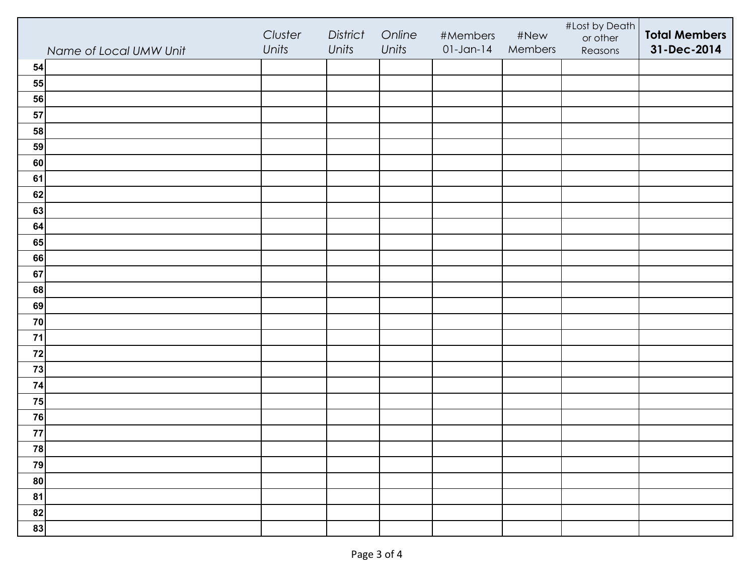|                        | Cluster | District | Online | #Members     | #New    | #Lost by Death<br>or other | <b>Total Members</b> |
|------------------------|---------|----------|--------|--------------|---------|----------------------------|----------------------|
| Name of Local UMW Unit | Units   | Units    | Units  | $01$ -Jan-14 | Members | Reasons                    | 31-Dec-2014          |
| 54                     |         |          |        |              |         |                            |                      |
| 55                     |         |          |        |              |         |                            |                      |
| 56                     |         |          |        |              |         |                            |                      |
| 57                     |         |          |        |              |         |                            |                      |
| 58                     |         |          |        |              |         |                            |                      |
| 59                     |         |          |        |              |         |                            |                      |
| 60                     |         |          |        |              |         |                            |                      |
| 61                     |         |          |        |              |         |                            |                      |
| 62                     |         |          |        |              |         |                            |                      |
| 63                     |         |          |        |              |         |                            |                      |
| 64                     |         |          |        |              |         |                            |                      |
| 65                     |         |          |        |              |         |                            |                      |
| 66                     |         |          |        |              |         |                            |                      |
| 67                     |         |          |        |              |         |                            |                      |
| 68                     |         |          |        |              |         |                            |                      |
| 69                     |         |          |        |              |         |                            |                      |
| 70                     |         |          |        |              |         |                            |                      |
| $71$                   |         |          |        |              |         |                            |                      |
| 72                     |         |          |        |              |         |                            |                      |
| 73                     |         |          |        |              |         |                            |                      |
| 74                     |         |          |        |              |         |                            |                      |
| 75                     |         |          |        |              |         |                            |                      |
| 76                     |         |          |        |              |         |                            |                      |
| 77                     |         |          |        |              |         |                            |                      |
| 78                     |         |          |        |              |         |                            |                      |
| 79                     |         |          |        |              |         |                            |                      |
| 80                     |         |          |        |              |         |                            |                      |
| 81                     |         |          |        |              |         |                            |                      |
| 82                     |         |          |        |              |         |                            |                      |
| 83                     |         |          |        |              |         |                            |                      |